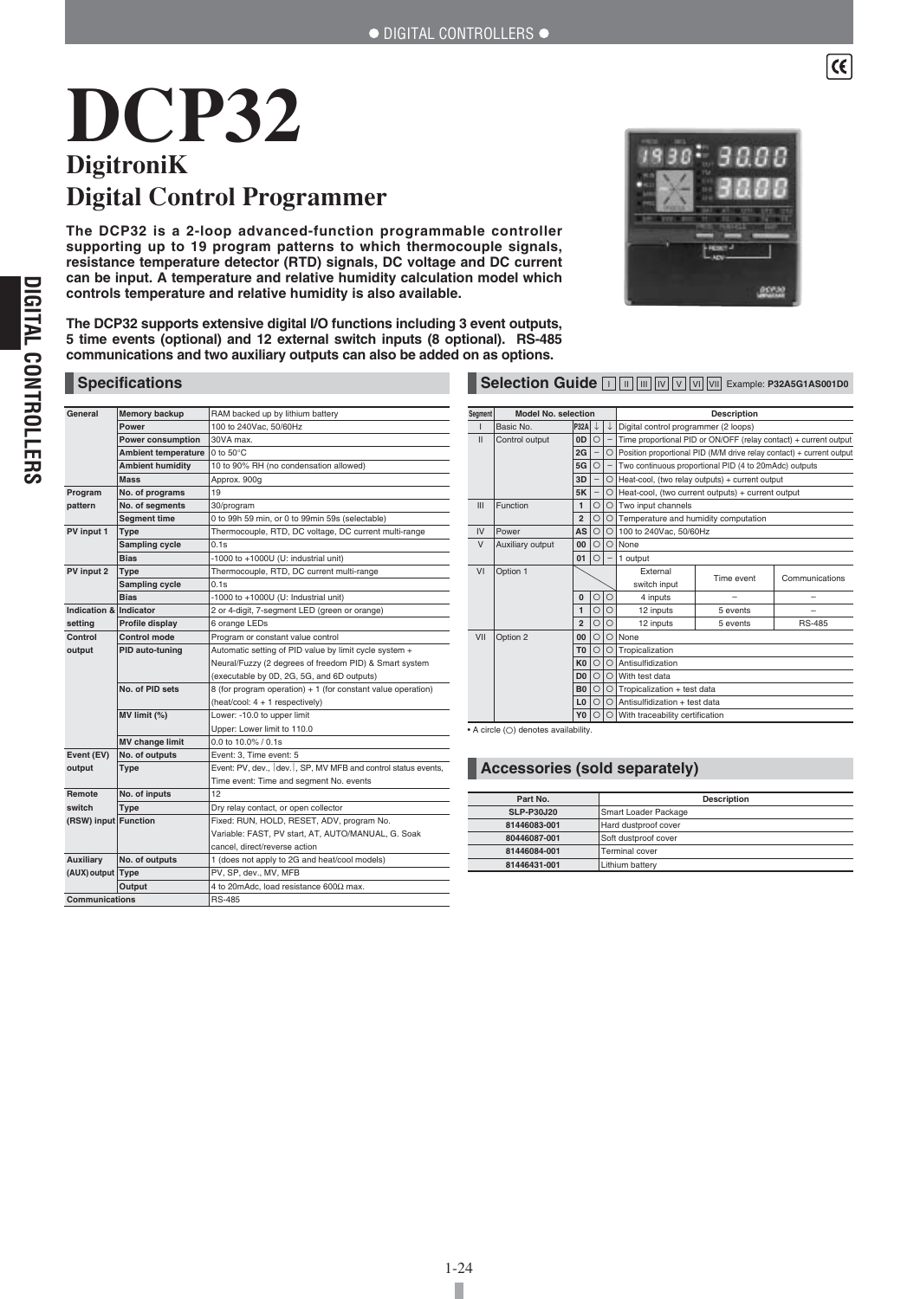# **DCP32 DigitroniK Digital Control Programmer**

**The DCP32 is a 2-loop advanced-function programmable controller supporting up to 19 program patterns to which thermocouple signals, resistance temperature detector (RTD) signals, DC voltage and DC current can be input. A temperature and relative humidity calculation model which controls temperature and relative humidity is also available.**

**The DCP32 supports extensive digital I/O functions including 3 event outputs, 5 time events (optional) and 12 external switch inputs (8 optional). RS-485 communications and two auxiliary outputs can also be added on as options.**



 $\lceil$ 

### **Specifications Selection Guide Example: P32A5G1AS001D0**

| General                | Memory backup              | RAM backed up by lithium battery                             |  |
|------------------------|----------------------------|--------------------------------------------------------------|--|
|                        | Power                      | 100 to 240Vac, 50/60Hz                                       |  |
|                        | <b>Power consumption</b>   | 30VA max.                                                    |  |
|                        | <b>Ambient temperature</b> | 0 to $50^{\circ}$ C                                          |  |
|                        | <b>Ambient humidity</b>    | 10 to 90% RH (no condensation allowed)                       |  |
|                        | <b>Mass</b>                | Approx. 900g                                                 |  |
| Program                | No. of programs            | 19                                                           |  |
| pattern                | No. of segments            | 30/program                                                   |  |
|                        | <b>Segment time</b>        | 0 to 99h 59 min, or 0 to 99min 59s (selectable)              |  |
| PV input 1             | Type                       | Thermocouple, RTD, DC voltage, DC current multi-range        |  |
|                        | Sampling cycle             | 0.1s                                                         |  |
|                        | <b>Bias</b>                | -1000 to +1000U (U: industrial unit)                         |  |
| PV input 2             | Type                       | Thermocouple, RTD, DC current multi-range                    |  |
|                        | Sampling cycle             | 0.1s                                                         |  |
|                        | <b>Bias</b>                | -1000 to $+1000U$ (U: Industrial unit)                       |  |
| Indication & Indicator |                            | 2 or 4-digit, 7-segment LED (green or orange)                |  |
| settina                | Profile display            | 6 orange LEDs                                                |  |
| Control                | <b>Control mode</b>        | Program or constant value control                            |  |
| output                 | PID auto-tuning            | Automatic setting of PID value by limit cycle system +       |  |
|                        |                            | Neural/Fuzzy (2 degrees of freedom PID) & Smart system       |  |
|                        |                            | (executable by 0D, 2G, 5G, and 6D outputs)                   |  |
|                        | No. of PID sets            | 8 (for program operation) + 1 (for constant value operation) |  |
|                        |                            | (heat/cool: $4 + 1$ respectively)                            |  |
|                        | $MV$ limit $(\%)$          | Lower: -10.0 to upper limit                                  |  |
|                        |                            | Upper: Lower limit to 110.0                                  |  |
|                        | <b>MV change limit</b>     | 0.0 to 10.0% / 0.1s                                          |  |
| Event (EV)             | No. of outputs             | Event: 3. Time event: 5                                      |  |
| output                 | Type                       | Event: PV, dev., dev., SP, MV MFB and control status events, |  |
|                        |                            | Time event: Time and segment No. events                      |  |
| Remote                 | No. of inputs              | 12                                                           |  |
| switch                 | Type                       | Dry relay contact, or open collector                         |  |
| (RSW) input Function   |                            | Fixed: RUN, HOLD, RESET, ADV, program No.                    |  |
|                        |                            | Variable: FAST, PV start, AT, AUTO/MANUAL, G. Soak           |  |
|                        |                            | cancel, direct/reverse action                                |  |
| Auxiliary              | No. of outputs             | 1 (does not apply to 2G and heat/cool models)                |  |
| (AUX) output Type      |                            | PV, SP, dev., MV, MFB                                        |  |
|                        | Output                     | 4 to 20mAdc, load resistance 600Ω max.                       |  |
| Communications         |                            | <b>RS-485</b>                                                |  |

| Segment       | <b>Model No. selection</b> |                |                          |          | <b>Description</b>                                                   |          |               |
|---------------|----------------------------|----------------|--------------------------|----------|----------------------------------------------------------------------|----------|---------------|
| ı             | Basic No.                  | <b>P32A</b>    |                          | ↓        | Digital control programmer (2 loops)                                 |          |               |
| $\mathbf{II}$ | Control output             | 0D             | $\circ$                  |          | Time proportional PID or ON/OFF (relay contact) + current output     |          |               |
|               |                            | 2G             | $\qquad \qquad -$        | O        | Position proportional PID (M/M drive relay contact) + current output |          |               |
|               |                            | 5G             | $\Omega$                 | $-$      | Two continuous proportional PID (4 to 20mAdc) outputs                |          |               |
|               |                            | 3D             | $\qquad \qquad -$        | $\circ$  | Heat-cool, (two relay outputs) + current output                      |          |               |
|               |                            | 5K             | $\overline{\phantom{m}}$ | $\Omega$ | Heat-cool, (two current outputs) + current output                    |          |               |
| III           | Function                   | $\mathbf{1}$   | $\circ$                  | $\Omega$ | Two input channels                                                   |          |               |
|               |                            | $\overline{2}$ | $\Omega$                 | $\Omega$ | Temperature and humidity computation                                 |          |               |
| IV            | Power                      | AS             | $\Omega$                 | $\Omega$ | 100 to 240Vac, 50/60Hz                                               |          |               |
| $\vee$        | Auxiliary output           | 00             | $\Omega$                 | $\Omega$ | None                                                                 |          |               |
|               |                            | 01             | $\Omega$                 |          | 1 output                                                             |          |               |
| VI            | Option 1                   |                |                          |          | External<br>Communications                                           |          |               |
|               |                            |                |                          |          | Time event<br>switch input                                           |          |               |
|               |                            | 0              | $\circ$                  | $\circ$  | 4 inputs                                                             |          | -             |
|               |                            | 1              | $\circ$                  | $\circ$  | 12 inputs                                                            | 5 events |               |
|               |                            | $\overline{2}$ | $\circ$                  | $\circ$  | 12 inputs                                                            | 5 events | <b>RS-485</b> |
| VII           | Option 2                   | 00             | $\circ$                  | $\circ$  | None                                                                 |          |               |
|               |                            | T <sub>0</sub> | $\Omega$                 | O        | Tropicalization                                                      |          |               |
|               |                            | K <sub>0</sub> | $\circ$                  | O        | Antisulfidization                                                    |          |               |
|               |                            | D <sub>0</sub> | $\Omega$                 | O        | With test data                                                       |          |               |
|               |                            | <b>B0</b>      | $\Omega$                 | $\Omega$ | Tropicalization + test data                                          |          |               |
|               |                            | L <sub>0</sub> | $\Omega$                 | $\Omega$ | Antisulfidization + test data                                        |          |               |
|               |                            | Y <sub>0</sub> | $\Omega$                 | Ω        | With traceability certification                                      |          |               |

• A circle (O) denotes availability

# **Accessories (sold separately)**

| Part No.          | <b>Description</b>    |
|-------------------|-----------------------|
| <b>SLP-P30J20</b> | Smart Loader Package  |
| 81446083-001      | Hard dustproof cover  |
| 80446087-001      | Soft dustproof cover  |
| 81446084-001      | <b>Terminal cover</b> |
| 81446431-001      | Lithium battery       |